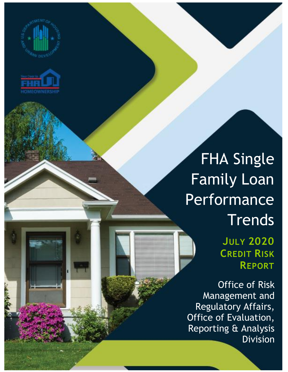



## FHA Single Family Loan Performance **Trends**

**JULY 2020 CREDIT RISK REPORT**

Office of Risk Management and Regulatory Affairs, Office of Evaluation, Reporting & Analysis Division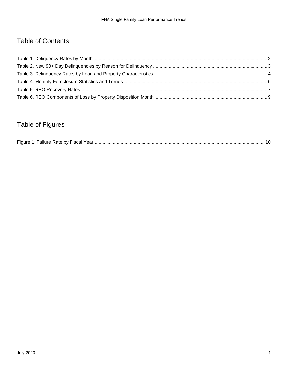## Table of Contents

## Table of Figures

| Figure 1<br>Failure Rate by Fiscal Year. |  |
|------------------------------------------|--|
|------------------------------------------|--|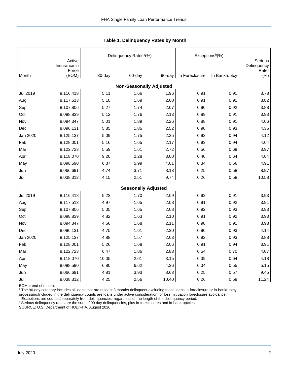|          |                        |        | Delinquency Rates <sup>a</sup> (%) |        | Exceptions <sup>b</sup> (%) |               |                              |
|----------|------------------------|--------|------------------------------------|--------|-----------------------------|---------------|------------------------------|
|          | Active<br>Insurance in |        |                                    |        |                             |               | Serious<br>Delinquency       |
| Month    | Force<br>(EOM)         | 30-day | 60-day                             | 90-day | In Foreclosure              | In Bankruptcy | Rate <sup>c</sup><br>$(\% )$ |
|          |                        |        | <b>Non-Seasonally Adjusted</b>     |        |                             |               |                              |
| Jul 2019 | 8,116,418              | 5.11   | 1.66                               | 1.96   | 0.91                        | 0.91          | 3.78                         |
| Aug      | 8,117,513              | 5.10   | 1.69                               | 2.00   | 0.91                        | 0.91          | 3.82                         |
| Sep      | 8,107,806              | 5.27   | 1.74                               | 2.07   | 0.90                        | 0.92          | 3.88                         |
| Oct      | 8,098,839              | 5.12   | 1.76                               | 2.13   | 0.89                        | 0.91          | 3.93                         |
| Nov      | 8,094,347              | 5.01   | 1.89                               | 2.26   | 0.88                        | 0.91          | 4.06                         |
| Dec      | 8,096,131              | 5.35   | 1.85                               | 2.52   | 0.90                        | 0.93          | 4.35                         |
| Jan 2020 | 8,125,137              | 5.09   | 1.75                               | 2.25   | 0.92                        | 0.94          | 4.12                         |
| Feb      | 8,128,001              | 5.16   | 1.65                               | 2.17   | 0.93                        | 0.94          | 4.04                         |
| Mar      | 8,122,723              | 5.59   | 1.61                               | 2.72   | 0.56                        | 0.69          | 3.97                         |
| Apr      | 8,118,070              | 9.20   | 2.28                               | 3.00   | 0.40                        | 0.64          | 4.04                         |
| May      | 8,098,590              | 6.37   | 5.99                               | 4.01   | 0.34                        | 0.56          | 4.91                         |
| Jun      | 8,066,691              | 4.74   | 3.71                               | 8.13   | 0.25                        | 0.58          | 8.97                         |
| Jul      | 8,038,312              | 4.15   | 2.51                               | 9.74   | 0.26                        | 0.58          | 10.58                        |
|          |                        |        | <b>Seasonally Adjusted</b>         |        |                             |               |                              |
| Jul 2019 | 8,116,418              | 5.23   | 1.70                               | 2.09   | 0.92                        | 0.91          | 3.93                         |
| Aug      | 8,117,513              | 4.97   | 1.65                               | 2.08   | 0.91                        | 0.92          | 3.91                         |
| Sep      | 8,107,806              | 5.05   | 1.65                               | 2.08   | 0.92                        | 0.93          | 3.93                         |
| Oct      | 8,098,839              | 4.82   | 1.63                               | 2.10   | 0.91                        | 0.92          | 3.93                         |
| Nov      | 8,094,347              | 4.56   | 1.68                               | 2.11   | 0.90                        | 0.91          | 3.93                         |
| Dec      | 8,096,131              | 4.75   | 1.61                               | 2.30   | 0.90                        | 0.93          | 4.14                         |
| Jan 2020 | 8,125,137              | 4.88   | 1.57                               | 2.03   | 0.92                        | 0.93          | 3.88                         |
| Feb      | 8,128,001              | 5.26   | 1.68                               | 2.06   | 0.91                        | 0.94          | 3.91                         |
| Mar      | 8,122,723              | 6.47   | 1.86                               | 2.83   | 0.54                        | 0.70          | 4.07                         |
| Apr      | 8,118,070              | 10.05  | 2.61                               | 3.15   | 0.39                        | 0.64          | 4.18                         |
| May      | 8,098,590              | 6.80   | 6.62                               | 4.26   | 0.34                        | 0.55          | 5.15                         |
| Jun      | 8,066,691              | 4.81   | 3.93                               | 8.63   | 0.25                        | 0.57          | 9.45                         |
| Jul      | 8,038,312              | 4.25   | 2.56                               | 10.40  | 0.26                        | 0.58          | 11.24                        |

<span id="page-2-0"></span>**Table 1. Delinquency Rates by Month**

EOM = end of month.

<sup>a</sup> The 90-day category includes all loans that are at least 3 months delinquent excluding those loans in-foreclosure or in-bankruptcy

processing.Included in the delinquency counts are loans under active consideration for loss mitigation foreclosure avoidance.

 $b$  Exceptions are counted separately from delinquencies, regardless of the length of the delinquency period.

<sup>c</sup> Serious delinquency rates are the sum of 90 day delinquencies, plus in-foreclosures and in-bankruptcies.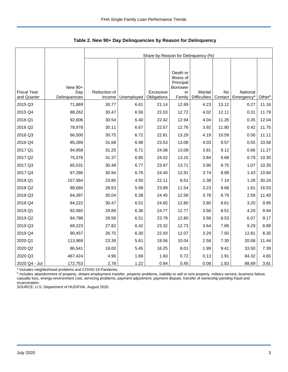|                    |               | Share by Reason for Delinquency (%) |            |             |                                                 |                     |           |                        |        |  |
|--------------------|---------------|-------------------------------------|------------|-------------|-------------------------------------------------|---------------------|-----------|------------------------|--------|--|
|                    |               |                                     |            |             |                                                 |                     |           |                        |        |  |
|                    | New 90+       |                                     |            |             | Death or<br>Illness of<br>Principal<br>Borrower |                     |           |                        |        |  |
| <b>Fiscal Year</b> | Day           | Reduction of                        |            | Excessive   | or                                              | Marital             | <b>No</b> | National               |        |  |
| and Quarter        | Delinquencies | Income                              | Unemployed | Obligations | Family                                          | <b>Difficulties</b> | Contact   | Emergency <sup>a</sup> | Otherb |  |
| 2015 Q3            | 71,869        | 30.77                               | 6.61       | 21.14       | 12.69                                           | 4.23                | 13.12     | 0.27                   | 11.16  |  |
| 2015 Q4            | 88,262        | 30.47                               | 6.56       | 22.03       | 12.72                                           | 4.02                | 12.11     | 0.31                   | 11.79  |  |
| 2016 Q1            | 92,606        | 30.54                               | 6.40       | 22.42       | 12.94                                           | 4.04                | 11.26     | 0.35                   | 12.04  |  |
| 2016 Q2            | 78,978        | 30.11                               | 6.67       | 22.57       | 12.76                                           | 3.92                | 11.80     | 0.42                   | 11.75  |  |
| 2016 Q3            | 66,500        | 30.75                               | 6.72       | 22.81       | 13.29                                           | 4.19                | 10.59     | 0.56                   | 11.11  |  |
| 2016 Q4            | 85,289        | 31.68                               | 6.98       | 23.53       | 13.08                                           | 4.03                | 9.57      | 0.55                   | 10.58  |  |
| 2017 Q1            | 94,958        | 31.25                               | 6.71       | 24.08       | 13.09                                           | 3.81                | 9.12      | 0.66                   | 11.27  |  |
| 2017 Q2            | 75,376        | 31.37                               | 6.85       | 24.02       | 13.15                                           | 3.84                | 9.68      | 0.79                   | 10.30  |  |
| 2017 Q3            | 65,531        | 30.48                               | 6.77       | 23.97       | 13.71                                           | 3.90                | 9.75      | 1.07                   | 10.35  |  |
| 2017 Q4            | 87,286        | 30.94                               | 6.76       | 24.40       | 12.91                                           | 3.74                | 8.99      | 1.43                   | 10.84  |  |
| 2018 Q1            | 157,584       | 23.85                               | 4.50       | 22.11       | 8.51                                            | 2.38                | 7.14      | 1.28                   | 30.24  |  |
| 2018 Q2            | 88,660        | 28.53                               | 5.99       | 23.89       | 11.54                                           | 3.23                | 8.68      | 1.61                   | 16.53  |  |
| 2018 Q3            | 64,397        | 30.04                               | 6.38       | 24.45       | 12.58                                           | 3.78                | 8.79      | 2.58                   | 11.40  |  |
| 2018 Q4            | 84,222        | 30.47                               | 6.51       | 24.65       | 12.80                                           | 3.80                | 8.61      | 3.20                   | 9.95   |  |
| 2019 Q1            | 92,065        | 29.89                               | 6.36       | 24.77       | 12.77                                           | 3.56                | 8.51      | 4.20                   | 9.94   |  |
| 2019 Q2            | 84,788        | 29.56                               | 6.51       | 23.78       | 12.80                                           | 3.58                | 8.53      | 6.07                   | 9.17   |  |
| 2019 Q3            | 69,223        | 27.82                               | 6.42       | 23.32       | 12.73                                           | 3.64                | 7.89      | 9.29                   | 8.89   |  |
| 2019 Q4            | 90,457        | 26.75                               | 6.30       | 22.93       | 12.07                                           | 3.29                | 7.50      | 12.81                  | 8.35   |  |
| 2020 Q1            | 113,969       | 23.39                               | 5.61       | 19.56       | 10.04                                           | 2.58                | 7.30      | 20.08                  | 11.44  |  |
| 2020 Q2            | 86,541        | 18.00                               | 5.45       | 16.25       | 8.01                                            | 1.99                | 9.41      | 33.50                  | 7.39   |  |
| 2020 Q3            | 467,424       | 4.96                                | 1.69       | 1.60        | 0.72                                            | 0.13                | 1.91      | 84.32                  | 4.65   |  |
| 2020 Q4 - Jul      | 172,753       | 2.78                                | 1.22       | 0.94        | 0.45                                            | 0.08                | 1.83      | 88.89                  | 3.81   |  |

<span id="page-3-0"></span>**Table 2. New 90+ Day Delinquencies by Reason for Delinquency**

a Includes neighborhood problems and COVID-19 Pandemic.

**b** Includes abandonment of property, distant employment transfer, property problems, inability to sell or rent property, military service, business failure, casualty loss, energy-environment cost, servicing problems, payment adjustment, payment dispute, transfer of ownership pending fraud and incarceration.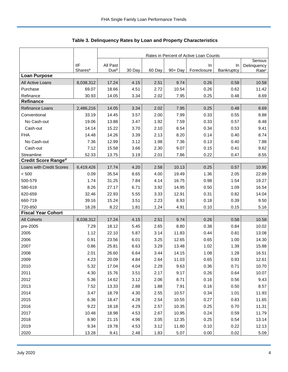|                            |                     | Rates in Percent of Active Loan Counts |        |        |         |             |            |                        |  |
|----------------------------|---------------------|----------------------------------------|--------|--------|---------|-------------|------------|------------------------|--|
|                            | <b>IIF</b>          | All Past                               |        |        |         | In          | In         | Serious<br>Delinquency |  |
|                            | Shares <sup>a</sup> | Due <sup>b</sup>                       | 30 Day | 60 Day | 90+ Day | Foreclosure | Bankruptcy | Rate <sup>c</sup>      |  |
| <b>Loan Purpose</b>        |                     |                                        |        |        |         |             |            |                        |  |
| All Active Loans           | 8,038,312           | 17.24                                  | 4.15   | 2.51   | 9.74    | 0.26        | 0.58       | 10.58                  |  |
| Purchase                   | 69.07               | 18.66                                  | 4.51   | 2.72   | 10.54   | 0.26        | 0.62       | 11.42                  |  |
| Refinance                  | 30.93               | 14.05                                  | 3.34   | 2.02   | 7.95    | 0.25        | 0.48       | 8.69                   |  |
| <b>Refinance</b>           |                     |                                        |        |        |         |             |            |                        |  |
| Refinance Loans            | 2,486,216           | 14.05                                  | 3.34   | 2.02   | 7.95    | 0.25        | 0.48       | 8.69                   |  |
| Conventional               | 33.19               | 14.45                                  | 3.57   | 2.00   | 7.99    | 0.33        | 0.55       | 8.88                   |  |
| No Cash-out                | 19.06               | 13.88                                  | 3.47   | 1.92   | 7.59    | 0.33        | 0.57       | 8.48                   |  |
| Cash-out                   | 14.14               | 15.22                                  | 3.70   | 2.10   | 8.54    | 0.34        | 0.53       | 9.41                   |  |
| <b>FHA</b>                 | 14.48               | 14.26                                  | 3.39   | 2.13   | 8.20    | 0.14        | 0.40       | 8.74                   |  |
| No Cash-out                | 7.36                | 12.99                                  | 3.12   | 1.98   | 7.36    | 0.13        | 0.40       | 7.88                   |  |
| Cash-out                   | 7.12                | 15.58                                  | 3.66   | 2.30   | 9.07    | 0.15        | 0.41       | 9.62                   |  |
| Streamline                 | 52.33               | 13.75                                  | 3.19   | 2.01   | 7.86    | 0.22        | 0.47       | 8.55                   |  |
| <b>Credit Score Ranged</b> |                     |                                        |        |        |         |             |            |                        |  |
| Loans with Credit Scores   | 6,419,426           | 17.74                                  | 4.20   | 2.58   | 10.13   | 0.25        | 0.57       | 10.95                  |  |
| < 500                      | 0.09                | 35.54                                  | 8.65   | 4.00   | 19.49   | 1.36        | 2.05       | 22.89                  |  |
| 500-579                    | 1.74                | 31.25                                  | 7.84   | 4.14   | 16.75   | 0.98        | 1.54       | 19.27                  |  |
| 580-619                    | 8.26                | 27.17                                  | 6.71   | 3.92   | 14.95   | 0.50        | 1.09       | 16.54                  |  |
| 620-659                    | 32.46               | 22.93                                  | 5.55   | 3.33   | 12.91   | 0.31        | 0.82       | 14.04                  |  |
| 660-719                    | 39.16               | 15.24                                  | 3.51   | 2.23   | 8.93    | 0.18        | 0.39       | 9.50                   |  |
| 720-850                    | 18.28               | 8.22                                   | 1.81   | 1.24   | 4.91    | 0.10        | 0.15       | 5.16                   |  |
| <b>Fiscal Year Cohort</b>  |                     |                                        |        |        |         |             |            |                        |  |
| <b>All Cohorts</b>         | 8,038,312           | 17.24                                  | 4.15   | 2.51   | 9.74    | 0.26        | 0.58       | 10.58                  |  |
| pre-2005                   | 7.29                | 18.12                                  | 5.45   | 2.65   | 8.80    | 0.38        | 0.84       | 10.02                  |  |
| 2005                       | 1.12                | 22.10                                  | 5.87   | 3.14   | 11.83   | 0.44        | 0.81       | 13.08                  |  |
| 2006                       | 0.91                | 23.56                                  | 6.01   | 3.25   | 12.65   | 0.65        | 1.00       | 14.30                  |  |
| 2007                       | 0.86                | 25.81                                  | 6.63   | 3.29   | 13.48   | 1.02        | 1.39       | 15.88                  |  |
| 2008                       | 2.01                | 26.60                                  | 6.64   | 3.44   | 14.15   | 1.08        | 1.28       | 16.51                  |  |
| 2009                       | 4.23                | 20.09                                  | 4.84   | 2.64   | 11.03   | 0.65        | 0.93       | 12.61                  |  |
| 2010                       | 5.32                | 17.04                                  | 4.04   | 2.29   | 9.63    | 0.36        | 0.71       | 10.70                  |  |
| 2011                       | 4.30                | 15.76                                  | 3.51   | 2.17   | 9.17    | 0.26        | 0.64       | 10.07                  |  |
| 2012                       | 5.36                | 14.62                                  | 3.12   | 2.06   | 8.71    | 0.16        | 0.56       | 9.43                   |  |
| 2013                       | 7.52                | 13.33                                  | 2.88   | 1.88   | 7.91    | 0.16        | 0.50       | 8.57                   |  |
| 2014                       | 3.47                | 18.79                                  | 4.30   | 2.55   | 10.57   | 0.34        | 1.01       | 11.93                  |  |
| 2015                       | 6.36                | 18.47                                  | 4.28   | 2.54   | 10.55   | 0.27        | 0.83       | 11.65                  |  |
| 2016                       | 9.22                | 18.18                                  | 4.29   | 2.57   | 10.35   | 0.25        | 0.70       | 11.31                  |  |
| 2017                       | 10.48               | 18.98                                  | 4.53   | 2.67   | 10.95   | 0.24        | 0.59       | 11.79                  |  |
| 2018                       | 8.90                | 21.15                                  | 4.96   | 3.05   | 12.35   | 0.25        | 0.54       | 13.14                  |  |
| 2019                       | 9.34                | 19.78                                  | 4.53   | 3.12   | 11.80   | 0.10        | 0.22       | 12.13                  |  |
| 2020                       | 13.28               | 9.41                                   | 2.48   | 1.83   | 5.07    | 0.00        | 0.02       | 5.09                   |  |

<span id="page-4-0"></span>Table 3. Delinquency Rates by Loan and Property Characteristics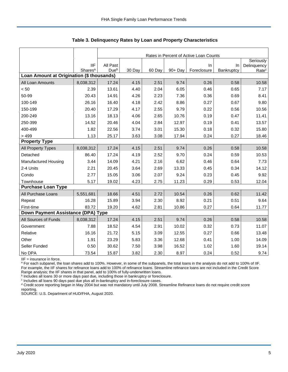|                                           |                     |                  |        |        |         | Rates in Percent of Active Loan Counts |            |                          |
|-------------------------------------------|---------------------|------------------|--------|--------|---------|----------------------------------------|------------|--------------------------|
|                                           | <b>IIF</b>          | All Past         |        |        |         | $\ln$                                  | In         | Seriously<br>Delinquency |
|                                           | Shares <sup>a</sup> | Due <sup>b</sup> | 30 Day | 60 Day | 90+ Day | Foreclosure                            | Bankruptcy | Rate <sup>c</sup>        |
| Loan Amount at Origination (\$ thousands) |                     |                  |        |        |         |                                        |            |                          |
| All Loan Amounts                          | 8,038,312           | 17.24            | 4.15   | 2.51   | 9.74    | 0.26                                   | 0.58       | 10.58                    |
| < 50                                      | 2.39                | 13.61            | 4.40   | 2.04   | 6.05    | 0.46                                   | 0.65       | 7.17                     |
| 50-99                                     | 20.43               | 14.91            | 4.26   | 2.23   | 7.36    | 0.36                                   | 0.69       | 8.41                     |
| 100-149                                   | 26.16               | 16.40            | 4.18   | 2.42   | 8.86    | 0.27                                   | 0.67       | 9.80                     |
| 150-199                                   | 20.40               | 17.29            | 4.17   | 2.55   | 9.79    | 0.22                                   | 0.56       | 10.56                    |
| 200-249                                   | 13.16               | 18.13            | 4.06   | 2.65   | 10.76   | 0.19                                   | 0.47       | 11.41                    |
| 250-399                                   | 14.52               | 20.46            | 4.04   | 2.84   | 12.97   | 0.19                                   | 0.41       | 13.57                    |
| 400-499                                   | 1.82                | 22.56            | 3.74   | 3.01   | 15.30   | 0.18                                   | 0.32       | 15.80                    |
| > 499                                     | 1.13                | 25.17            | 3.63   | 3.08   | 17.94   | 0.24                                   | 0.27       | 18.46                    |
| <b>Property Type</b>                      |                     |                  |        |        |         |                                        |            |                          |
| All Property Types                        | 8,038,312           | 17.24            | 4.15   | 2.51   | 9.74    | 0.26                                   | 0.58       | 10.58                    |
| Detached                                  | 86.40               | 17.24            | 4.19   | 2.52   | 9.70    | 0.24                                   | 0.59       | 10.53                    |
| <b>Manufactured Housing</b>               | 3.44                | 14.09            | 4.21   | 2.16   | 6.62    | 0.46                                   | 0.64       | 7.73                     |
| 2-4 Units                                 | 2.21                | 20.45            | 3.64   | 2.69   | 13.33   | 0.45                                   | 0.34       | 14.12                    |
| Condo                                     | 2.77                | 15.05            | 3.06   | 2.07   | 9.24    | 0.23                                   | 0.45       | 9.92                     |
| Townhouse                                 | 5.17                | 19.02            | 4.23   | 2.75   | 11.23   | 0.29                                   | 0.53       | 12.04                    |
| <b>Purchase Loan Type</b>                 |                     |                  |        |        |         |                                        |            |                          |
| All Purchase Loans                        | 5,551,681           | 18.66            | 4.51   | 2.72   | 10.54   | 0.26                                   | 0.62       | 11.42                    |
| Repeat                                    | 16.28               | 15.89            | 3.94   | 2.30   | 8.92    | 0.21                                   | 0.51       | 9.64                     |
| First-time                                | 83.72               | 19.20            | 4.62   | 2.81   | 10.86   | 0.27                                   | 0.64       | 11.77                    |
| Down Payment Assistance (DPA) Type        |                     |                  |        |        |         |                                        |            |                          |
| All Sources of Funds                      | 8,038,312           | 17.24            | 4.15   | 2.51   | 9.74    | 0.26                                   | 0.58       | 10.58                    |
| Government                                | 7.88                | 18.52            | 4.54   | 2.91   | 10.02   | 0.32                                   | 0.73       | 11.07                    |
| Relative                                  | 16.16               | 21.72            | 5.15   | 3.09   | 12.55   | 0.27                                   | 0.66       | 13.48                    |
| Other                                     | 1.91                | 23.29            | 5.83   | 3.36   | 12.68   | 0.41                                   | 1.00       | 14.09                    |
| Seller Funded                             | 0.50                | 30.62            | 7.50   | 3.98   | 16.52   | 1.02                                   | 1.60       | 19.14                    |
| No DPA                                    | 73.54               | 15.87            | 3.82   | 2.30   | 8.97    | 0.24                                   | 0.52       | 9.74                     |

**Table 3. Delinquency Rates by Loan and Property Characteristics**

IIF = insurance in force.

<sup>a</sup> For each subpanel, the loan shares add to 100%. However, in some of the subpanels, the total loans in the analysis do not add to 100% of IIF. For example, the IIF shares for refinance loans add to 100% of refinance loans. Streamline refinance loans are not included in the Credit Score

Range analysis; the IIF shares in that panel, add to 100% of fully-underwritten loans.<br><sup>b</sup> Includes all loans 30 or more days past due, including those in bankruptcy or foreclosure.

c Includes all loans 90 days past due plus all in-bankruptcy and in-foreclosure cases.

<sup>d</sup> Credit score reporting began in May 2004 but was not mandatory until July 2008. Streamline Refinance loans do not require credit score reporting.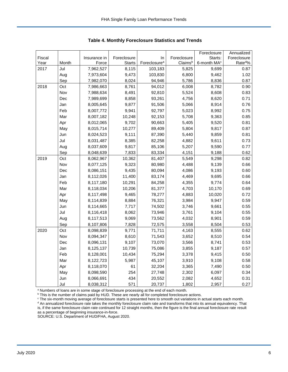|        |       |              |               |                          |             | Foreclosure             | Annualized         |
|--------|-------|--------------|---------------|--------------------------|-------------|-------------------------|--------------------|
| Fiscal |       | Insurance in | Foreclosure   | In                       | Foreclosure | Starts:                 | Foreclosure        |
| Year   | Month | Force        | <b>Starts</b> | Foreclosure <sup>a</sup> | Claimsb     | 6-month MA <sup>c</sup> | Rate <sup>d%</sup> |
| 2017   | Jul   | 7,962,527    | 8,115         | 103,183                  | 5,825       | 9,699                   | 0.87               |
|        | Aug   | 7,973,604    | 9,473         | 103,830                  | 6,800       | 9,462                   | 1.02               |
|        | Sep   | 7,982,070    | 8,024         | 94,946                   | 5,786       | 8,836                   | 0.87               |
| 2018   | Oct   | 7,986,663    | 8,761         | 94,012                   | 6,008       | 8,782                   | 0.90               |
|        | Nov   | 7,988,634    | 8,491         | 92,810                   | 5,524       | 8,608                   | 0.83               |
|        | Dec   | 7,989,699    | 8,858         | 93,261                   | 4,756       | 8,620                   | 0.71               |
|        | Jan   | 8,005,645    | 9,877         | 91,506                   | 5,066       | 8,914                   | 0.76               |
|        | Feb   | 8,007,772    | 9,941         | 92,797                   | 5,023       | 8,992                   | 0.75               |
|        | Mar   | 8,007,182    | 10,248        | 92,153                   | 5,708       | 9,363                   | 0.85               |
|        | Apr   | 8,012,065    | 9,702         | 90,663                   | 5,405       | 9,520                   | 0.81               |
|        | May   | 8,015,714    | 10,277        | 89,409                   | 5,804       | 9,817                   | 0.87               |
|        | Jun   | 8,024,523    | 9,111         | 87,390                   | 5,440       | 9,859                   | 0.81               |
|        | Jul   | 8,031,487    | 8,385         | 82,258                   | 4,882       | 9,611                   | 0.73               |
|        | Aug   | 8,037,609    | 9,817         | 85,106                   | 5,207       | 9,590                   | 0.77               |
|        | Sep   | 8,048,639    | 7,833         | 83,334                   | 4,151       | 9,188                   | 0.62               |
| 2019   | Oct   | 8,062,967    | 10,362        | 81,407                   | 5,549       | 9,298                   | 0.82               |
|        | Nov   | 8,077,125    | 9,323         | 80,980                   | 4,488       | 9,139                   | 0.66               |
|        | Dec   | 8,086,151    | 9,435         | 80,094                   | 4,086       | 9,193                   | 0.60               |
|        | Jan   | 8,112,026    | 11,400        | 83,174                   | 4,469       | 9,695                   | 0.66               |
|        | Feb   | 8,117,180    | 10,291        | 84,258                   | 4,355       | 9,774                   | 0.64               |
|        | Mar   | 8,118,034    | 10,206        | 81,377                   | 4,703       | 10,170                  | 0.69               |
|        | Apr   | 8,117,498    | 9,465         | 78,277                   | 4,883       | 10,020                  | 0.72               |
|        | May   | 8,114,839    | 8,884         | 76,321                   | 3,984       | 9,947                   | 0.59               |
|        | Jun   | 8,114,665    | 7,717         | 74,502                   | 3,746       | 9,661                   | 0.55               |
|        | Jul   | 8,116,418    | 8,062         | 73,946                   | 3,761       | 9,104                   | 0.55               |
|        | Aug   | 8,117,513    | 9,069         | 73,562                   | 4,032       | 8,901                   | 0.59               |
|        | Sep   | 8,107,806    | 7,828         | 72,575                   | 3,558       | 8,504                   | 0.53               |
| 2020   | Oct   | 8,098,839    | 9,771         | 71,711                   | 4,163       | 8,555                   | 0.62               |
|        | Nov   | 8,094,347    | 8,610         | 71,543                   | 3,652       | 8,510                   | 0.54               |
|        | Dec   | 8,096,131    | 9,107         | 73,070                   | 3,566       | 8,741                   | 0.53               |
|        | Jan   | 8,125,137    | 10,739        | 75,086                   | 3,855       | 9,187                   | 0.57               |
|        | Feb   | 8,128,001    | 10,434        | 75,294                   | 3,378       | 9,415                   | 0.50               |
|        | Mar   | 8,122,723    | 5,987         | 45,107                   | 3,910       | 9,108                   | 0.58               |
|        | Apr   | 8,118,070    | 61            | 32,204                   | 3,365       | 7,490                   | 0.50               |
|        | May   | 8,098,590    | 254           | 27,748                   | 2,302       | 6,097                   | 0.34               |
|        | Jun   | 8,066,691    | 434           | 20,552                   | 2,082       | 4,652                   | 0.31               |
|        | Jul   | 8,038,312    | 571           | 20,737                   | 1,802       | 2,957                   | 0.27               |

<span id="page-6-0"></span>**Table 4. Monthly Foreclosure Statistics and Trends**

<sup>a</sup> Numbers of loans are in some stage of foreclosure processing at the end of each month.

b This is the number of claims paid by HUD. These are nearly all for completed foreclosure actions.

<sup>c</sup> The six-month moving average of foreclosure starts is presented here to smooth out variations in actual starts each month. <sup>d</sup> An annualized foreclosure rate takes the monthly foreclosure claim rate and transforms that into its annual equivalency. That is, if the same foreclosure claim rate continued for 12 straight months, then the figure is the final annual foreclosure rate result as a percentage of beginning insurance-in-force.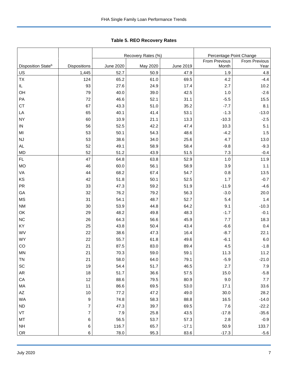|                                |                |                  | Recovery Rates (%) |                  |                                          |               |  |  |  |
|--------------------------------|----------------|------------------|--------------------|------------------|------------------------------------------|---------------|--|--|--|
|                                |                |                  |                    |                  | Percentage Point Change<br>From Previous | From Previous |  |  |  |
| Disposition State <sup>b</sup> | Dispositions   | <b>June 2020</b> | May 2020           | <b>June 2019</b> | Month                                    | Year          |  |  |  |
| US                             | 1,445          | 52.7             | 50.9               | 47.9             | 1.9                                      | 4.8           |  |  |  |
| <b>TX</b>                      | 124            | 65.2             | 61.0               | 69.5             | 4.2                                      | $-4.4$        |  |  |  |
| IL.                            | 93             | 27.6             | 24.9               | 17.4             | 2.7                                      | 10.2          |  |  |  |
| OH                             | 79             | 40.0             | 39.0               | 42.5             | 1.0                                      | $-2.6$        |  |  |  |
| PA                             | 72             | 46.6             | 52.1               | 31.1             | $-5.5$                                   | 15.5          |  |  |  |
| <b>CT</b>                      | 67             | 43.3             | 51.0               | 35.2             | $-7.7$                                   | 8.1           |  |  |  |
| LA                             | 65             | 40.1             | 41.4               | 53.1             | $-1.3$                                   | $-13.0$       |  |  |  |
| <b>NY</b>                      | 60             | 10.9             | 21.1               | 13.3             | $-10.3$                                  | $-2.5$        |  |  |  |
| IN                             | 56             | 52.5             | 42.2               | 47.4             | 10.3                                     | 5.1           |  |  |  |
| MI                             | 53             | 50.1             | 54.3               | 48.6             | $-4.2$                                   | 1.5           |  |  |  |
| <b>NJ</b>                      | 53             | 38.6             | 34.0               | 25.6             | 4.7                                      | 13.0          |  |  |  |
| AL                             | 52             | 49.1             | 58.9               | 58.4             | $-9.8$                                   | $-9.3$        |  |  |  |
| <b>MD</b>                      | 52             | 51.2             | 43.9               | 51.5             | 7.3                                      | $-0.4$        |  |  |  |
| FL.                            | 47             | 64.8             | 63.8               | 52.9             | 1.0                                      | 11.9          |  |  |  |
| <b>MO</b>                      | 46             | 60.0             | 56.1               | 58.9             | 3.9                                      | $1.1$         |  |  |  |
| VA                             | 44             | 68.2             | 67.4               | 54.7             | 0.8                                      | 13.5          |  |  |  |
| KS                             | 42             | 51.8             | 50.1               | 52.5             | 1.7                                      | $-0.7$        |  |  |  |
| <b>PR</b>                      | 33             | 47.3             | 59.2               | 51.9             | $-11.9$                                  | $-4.6$        |  |  |  |
| GA                             | 32             | 76.2             | 79.2               | 56.3             | $-3.0$                                   | 20.0          |  |  |  |
| <b>MS</b>                      | 31             | 54.1             | 48.7               | 52.7             | 5.4                                      | 1.4           |  |  |  |
| <b>NM</b>                      | 30             | 53.9             | 44.8               | 64.2             | 9.1                                      | $-10.3$       |  |  |  |
| OK                             | 29             | 48.2             | 49.8               | 48.3             | $-1.7$                                   | $-0.1$        |  |  |  |
| <b>NC</b>                      | 26             | 64.3             | 56.6               | 45.9             | 7.7                                      | 18.3          |  |  |  |
| KY                             | 25             | 43.8             | 50.4               | 43.4             | $-6.6$                                   | 0.4           |  |  |  |
| WV                             | 22             | 38.6             | 47.3               | 16.4             | $-8.7$                                   | 22.1          |  |  |  |
| <b>WY</b>                      | 22             | 55.7             | 61.8               | 49.6             | $-6.1$                                   | 6.0           |  |  |  |
| CO                             | 21             | 87.5             | 83.0               | 89.4             | 4.5                                      | $-1.8$        |  |  |  |
| <b>MN</b>                      | 21             | 70.3             | 59.0               | 59.1             | 11.3                                     | 11.2          |  |  |  |
| <b>TN</b>                      | 21             | 58.0             | 64.0               | 79.1             | $-5.9$                                   | $-21.0$       |  |  |  |
| SC                             | 19             | 54.4             | 51.7               | 46.5             | 2.7                                      | 7.9           |  |  |  |
| AR                             | 18             | 51.7             | 36.6               | 57.5             | 15.0                                     | $-5.8$        |  |  |  |
| CA                             | 12             | 88.6             | 79.5               | 80.9             | 9.0                                      | 7.7           |  |  |  |
| MA                             | 11             | 86.6             | 69.5               | 53.0             | 17.1                                     | 33.6          |  |  |  |
| AZ                             | $10$           | 77.2             | 47.2               | 49.0             | 30.0                                     | 28.2          |  |  |  |
| WA                             | 9              | 74.8             | 58.3               | 88.8             | 16.5                                     | $-14.0$       |  |  |  |
| <b>ND</b>                      | 7              | 47.3             | 39.7               | 69.5             | 7.6                                      | $-22.2$       |  |  |  |
| VT                             | $\overline{7}$ | $7.9$            | 25.8               | 43.5             | $-17.8$                                  | $-35.6$       |  |  |  |
| <b>MT</b>                      | 6              | 56.5             | 53.7               | 57.3             | 2.8                                      | $-0.9$        |  |  |  |
| <b>NH</b>                      | 6              | 116.7            | 65.7               | $-17.1$          | 50.9                                     | 133.7         |  |  |  |
| OR                             | 6              | 78.0             | 95.3               | 83.6             | $-17.3$                                  | $-5.6$        |  |  |  |

<span id="page-7-0"></span>Tabl e 5. REO R ecovery R ates **Table 5. REO Recovery Rates**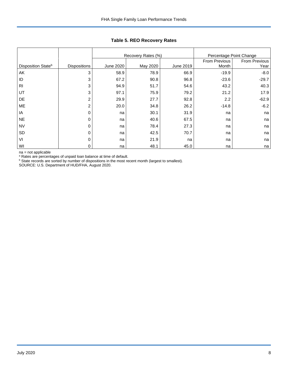|                                |                     |           | Recovery Rates (%) | Percentage Point Change |               |                      |
|--------------------------------|---------------------|-----------|--------------------|-------------------------|---------------|----------------------|
|                                |                     |           |                    |                         | From Previous | <b>From Previous</b> |
| Disposition State <sup>b</sup> | <b>Dispositions</b> | June 2020 | May 2020           | June 2019               | Month         | Year                 |
| AK                             | 3                   | 58.9      | 78.9               | 66.9                    | $-19.9$       | $-8.0$               |
| ID                             | 3                   | 67.2      | 90.8               | 96.8                    | $-23.6$       | $-29.7$              |
| R <sub>l</sub>                 | 3                   | 94.9      | 51.7               | 54.6                    | 43.2          | 40.3                 |
| UT                             | 3                   | 97.1      | 75.9               | 79.2                    | 21.2          | 17.9                 |
| DE                             | 2                   | 29.9      | 27.7               | 92.8                    | 2.2           | $-62.9$              |
| ME                             | $\overline{2}$      | 20.0      | 34.8               | 26.2                    | $-14.8$       | $-6.2$               |
| IA                             | $\Omega$            | na        | 30.1               | 31.9                    | na            | na                   |
| <b>NE</b>                      | $\Omega$            | na        | 40.6               | 67.5                    | na            | na                   |
| <b>NV</b>                      | $\Omega$            | na        | 78.4               | 27.3                    | na            | na                   |
| SD                             | $\Omega$            | na        | 42.5               | 70.7                    | na            | na                   |
| VI                             | $\mathbf{0}$        | na        | 21.9               | na                      | na            | na                   |
| WI                             | 0                   | na        | 48.1               | 45.0                    | na            | na                   |

## **Table 5. REO Recovery Rates**

na = not applicable

<sup>a</sup> Rates are percentages of unpaid loan balance at time of default.

<sup>b</sup> State records are sorted by number of dispositions in the most recent month (largest to smallest).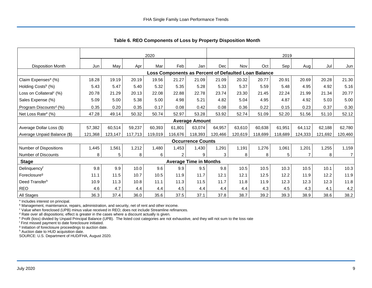|                                     | 2020    |         |         |         |         | 2019                          |         |         |                                                      |         |         |         |                |
|-------------------------------------|---------|---------|---------|---------|---------|-------------------------------|---------|---------|------------------------------------------------------|---------|---------|---------|----------------|
| <b>Disposition Month</b>            | Jun     | May     | Apr     | Mar     | Feb     | Jan                           | Dec     | Nov     | Oct                                                  | Sep     | Aug     | Jul     | Jun            |
|                                     |         |         |         |         |         |                               |         |         | Loss Components as Percent of Defaulted Loan Balance |         |         |         |                |
| Claim Expenses <sup>a</sup> (%)     | 18.28   | 19.19   | 20.19   | 19.56   | 21.27   | 21.09                         | 21.09   | 20.32   | 20.77                                                | 20.91   | 20.69   | 20.28   | 21.30          |
| Holding Costs <sup>b</sup> (%)      | 5.43    | 5.47    | 5.40    | 5.32    | 5.35    | 5.28                          | 5.33    | 5.37    | 5.59                                                 | 5.48    | 4.95    | 4.92    | 5.16           |
| Loss on Collateral <sup>c</sup> (%) | 20.78   | 21.29   | 20.13   | 22.08   | 22.88   | 22.78                         | 23.74   | 23.30   | 21.45                                                | 22.24   | 21.99   | 21.34   | 20.77          |
| Sales Expense (%)                   | 5.09    | 5.00    | 5.38    | 5.00    | 4.98    | 5.21                          | 4.82    | 5.04    | 4.95                                                 | 4.87    | 4.92    | 5.03    | 5.00           |
| Program Discounts <sup>d</sup> (%)  | 0.35    | 0.20    | 0.35    | 0.17    | 0.08    | 0.42                          | 0.08    | 0.36    | 0.22                                                 | 0.15    | 0.23    | 0.37    | 0.30           |
| Net Loss Rate <sup>e</sup> (%)      | 47.28   | 49.14   | 50.32   | 50.74   | 52.97   | 53.28                         | 53.92   | 52.74   | 51.09                                                | 52.20   | 51.56   | 51.10   | 52.12          |
|                                     |         |         |         |         |         | <b>Average Amount</b>         |         |         |                                                      |         |         |         |                |
| Average Dollar Loss (\$)            | 57,382  | 60,514  | 59,237  | 60,393  | 61.801  | 63,074                        | 64,957  | 63,610  | 60.638                                               | 61,951  | 64,112  | 62.188  | 62,780         |
| Average Unpaid Balance (\$)         | 121,368 | 123,147 | 117,713 | 119,019 | 116,676 | 118,393                       | 120,466 | 120,619 | 118,699                                              | 118,689 | 124,333 | 121,692 | 120,460        |
|                                     |         |         |         |         |         | <b>Occurrence Counts</b>      |         |         |                                                      |         |         |         |                |
| Number of Dispositions              | 1,445   | 1,561   | 1,212   | 1,480   | 1,453   | 1,430                         | 1,291   | 1,191   | 1,276                                                | 1,061   | 1,201   | 1,255   | 1,159          |
| <b>Number of Discounts</b>          | 8       | 5       | 8       | 6       | 2       | 9                             | 3       | 8       | 8                                                    | 5       |         | 8       | $\overline{7}$ |
| <b>Stage</b>                        |         |         |         |         |         | <b>Average Time in Months</b> |         |         |                                                      |         |         |         |                |
| Delinquency <sup>f</sup>            | 9.8     | 9.9     | 10.0    | 9.6     | 9.9     | 9.5                           | 9.8     | 10.5    | 10.5                                                 | 10.3    | 10.5    | 10.1    | 10.3           |
| Foreclosure <sup>g</sup>            | 11.1    | 11.5    | 10.7    | 10.5    | 11.9    | 11.7                          | 12.1    | 12.1    | 12.5                                                 | 12.2    | 11.9    | 12.2    | 11.9           |
| Deed Transferh                      | 10.9    | 11.3    | 10.8    | 11.1    | 11.3    | 11.5                          | 11.7    | 11.8    | 11.9                                                 | 12.3    | 12.3    | 12.3    | 11.8           |
| <b>REO</b>                          | 4.6     | 4.7     | 4.4     | 4.4     | 4.5     | 4.4                           | 4.4     | 4.4     | 4.3                                                  | 4.5     | 4.3     | 4.1     | 4.2            |
| All Stages                          | 36.3    | 37.4    | 36.0    | 35.6    | 37.5    | 37.1                          | 37.8    | 38.7    | 39.2                                                 | 39.3    | 38.9    | 38.6    | 38.2           |

<span id="page-9-0"></span>**Table 6. REO Components of Loss by Property Disposition Month**

<sup>a</sup> Includes interest on principal.

**b** Management, maintenance, repairs, administration, and security, net of rent and other income.

<sup>c</sup> Value when foreclosed (UPB) minus value received in REO; does not include Streamline refinances.

<sup>d</sup> Rate over all dispositions; effect is greater in the cases where a discount actually is given.

<sup>e</sup> Profit (loss) divided by Unpaid Principal Balance (UPB). The listed cost categories are not exhaustive, and they will not sum to the loss rate

<sup>f</sup> First missed payment to date foreclosure initiated.

<sup>g</sup> Initiation of foreclosure proceedings to auction date.

h Auction date to HUD acquisition date.